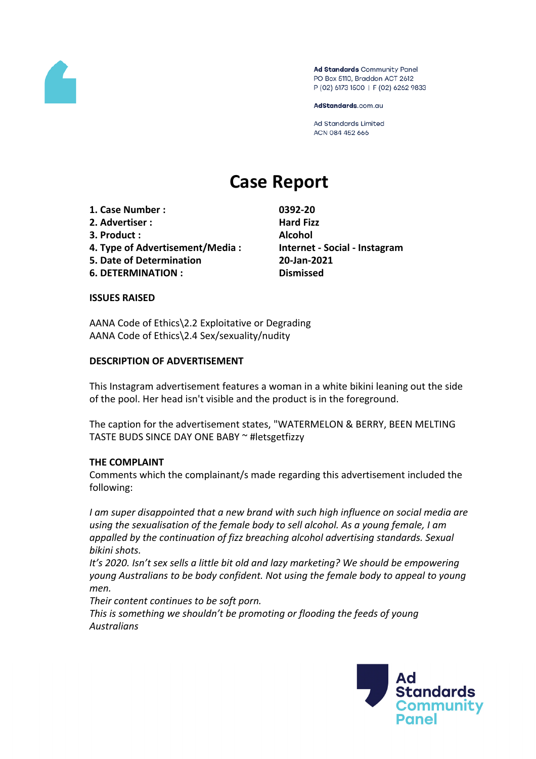

Ad Standards Community Panel PO Box 5110, Braddon ACT 2612 P (02) 6173 1500 | F (02) 6262 9833

AdStandards.com.au

**Ad Standards Limited** ACN 084 452 666

# **Case Report**

- **1. Case Number : 0392-20**
- **2. Advertiser : Hard Fizz**
- **3. Product : Alcohol**
- **4. Type of Advertisement/Media : Internet - Social - Instagram**
- **5. Date of Determination 20-Jan-2021**
- **6. DETERMINATION : Dismissed**

#### **ISSUES RAISED**

AANA Code of Ethics\2.2 Exploitative or Degrading AANA Code of Ethics\2.4 Sex/sexuality/nudity

#### **DESCRIPTION OF ADVERTISEMENT**

This Instagram advertisement features a woman in a white bikini leaning out the side of the pool. Her head isn't visible and the product is in the foreground.

The caption for the advertisement states, "WATERMELON & BERRY, BEEN MELTING TASTE BUDS SINCE DAY ONE BABY ~ #letsgetfizzy

#### **THE COMPLAINT**

Comments which the complainant/s made regarding this advertisement included the following:

*I am super disappointed that a new brand with such high influence on social media are using the sexualisation of the female body to sell alcohol. As a young female, I am appalled by the continuation of fizz breaching alcohol advertising standards. Sexual bikini shots.*

*It's 2020. Isn't sex sells a little bit old and lazy marketing? We should be empowering young Australians to be body confident. Not using the female body to appeal to young men.*

*Their content continues to be soft porn.*

*This is something we shouldn't be promoting or flooding the feeds of young Australians*

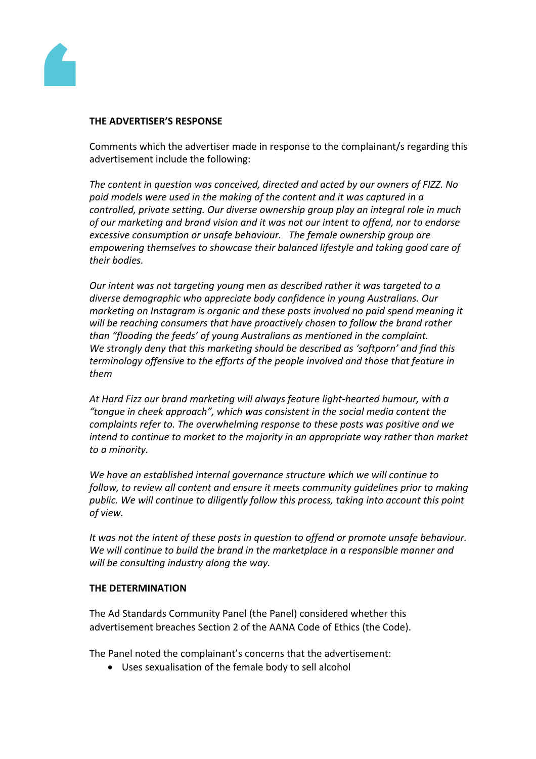

#### **THE ADVERTISER'S RESPONSE**

Comments which the advertiser made in response to the complainant/s regarding this advertisement include the following:

*The content in question was conceived, directed and acted by our owners of FIZZ. No paid models were used in the making of the content and it was captured in a controlled, private setting. Our diverse ownership group play an integral role in much of our marketing and brand vision and it was not our intent to offend, nor to endorse excessive consumption or unsafe behaviour. The female ownership group are empowering themselves to showcase their balanced lifestyle and taking good care of their bodies.*

*Our intent was not targeting young men as described rather it was targeted to a diverse demographic who appreciate body confidence in young Australians. Our marketing on Instagram is organic and these posts involved no paid spend meaning it will be reaching consumers that have proactively chosen to follow the brand rather than "flooding the feeds' of young Australians as mentioned in the complaint. We strongly deny that this marketing should be described as 'softporn' and find this terminology offensive to the efforts of the people involved and those that feature in them*

*At Hard Fizz our brand marketing will always feature light-hearted humour, with a "tongue in cheek approach", which was consistent in the social media content the complaints refer to. The overwhelming response to these posts was positive and we intend to continue to market to the majority in an appropriate way rather than market to a minority.*

*We have an established internal governance structure which we will continue to follow, to review all content and ensure it meets community guidelines prior to making public. We will continue to diligently follow this process, taking into account this point of view.*

*It was not the intent of these posts in question to offend or promote unsafe behaviour. We will continue to build the brand in the marketplace in a responsible manner and will be consulting industry along the way.*

### **THE DETERMINATION**

The Ad Standards Community Panel (the Panel) considered whether this advertisement breaches Section 2 of the AANA Code of Ethics (the Code).

The Panel noted the complainant's concerns that the advertisement:

Uses sexualisation of the female body to sell alcohol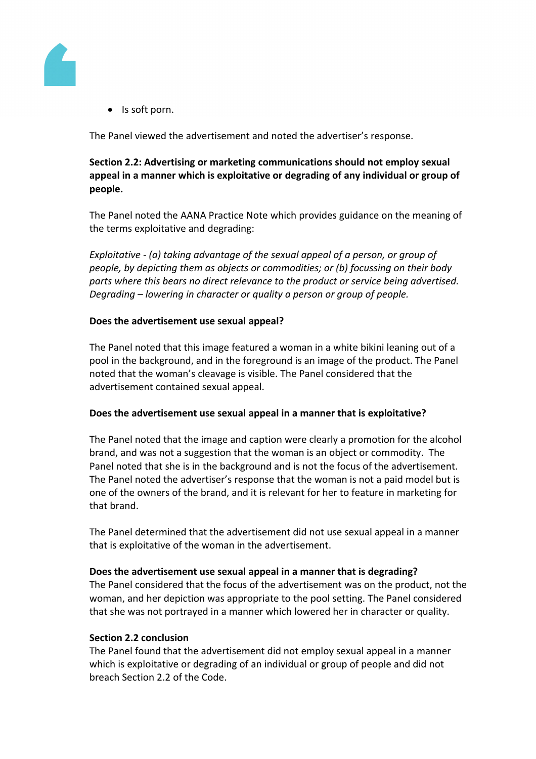

• Is soft porn.

The Panel viewed the advertisement and noted the advertiser's response.

## **Section 2.2: Advertising or marketing communications should not employ sexual appeal in a manner which is exploitative or degrading of any individual or group of people.**

The Panel noted the AANA Practice Note which provides guidance on the meaning of the terms exploitative and degrading:

*Exploitative - (a) taking advantage of the sexual appeal of a person, or group of people, by depicting them as objects or commodities; or (b) focussing on their body parts where this bears no direct relevance to the product or service being advertised. Degrading – lowering in character or quality a person or group of people.*

#### **Does the advertisement use sexual appeal?**

The Panel noted that this image featured a woman in a white bikini leaning out of a pool in the background, and in the foreground is an image of the product. The Panel noted that the woman's cleavage is visible. The Panel considered that the advertisement contained sexual appeal.

#### **Does the advertisement use sexual appeal in a manner that is exploitative?**

The Panel noted that the image and caption were clearly a promotion for the alcohol brand, and was not a suggestion that the woman is an object or commodity. The Panel noted that she is in the background and is not the focus of the advertisement. The Panel noted the advertiser's response that the woman is not a paid model but is one of the owners of the brand, and it is relevant for her to feature in marketing for that brand.

The Panel determined that the advertisement did not use sexual appeal in a manner that is exploitative of the woman in the advertisement.

#### **Does the advertisement use sexual appeal in a manner that is degrading?**

The Panel considered that the focus of the advertisement was on the product, not the woman, and her depiction was appropriate to the pool setting. The Panel considered that she was not portrayed in a manner which lowered her in character or quality.

#### **Section 2.2 conclusion**

The Panel found that the advertisement did not employ sexual appeal in a manner which is exploitative or degrading of an individual or group of people and did not breach Section 2.2 of the Code.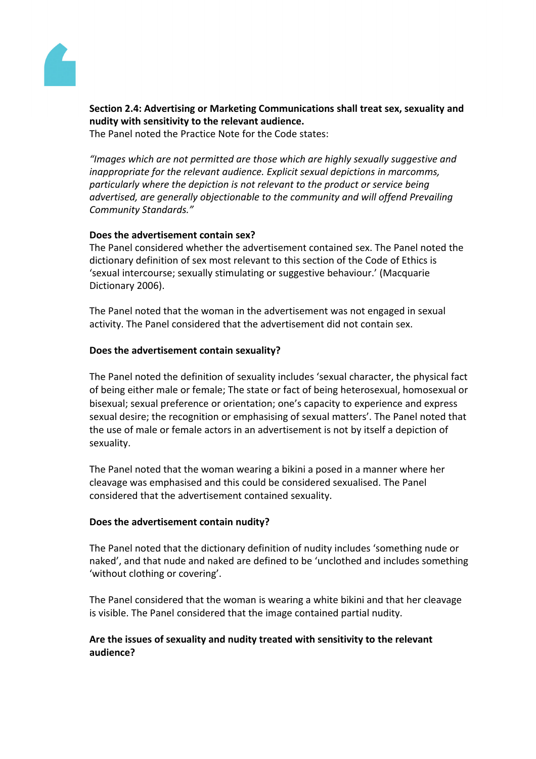

**Section 2.4: Advertising or Marketing Communications shall treat sex, sexuality and nudity with sensitivity to the relevant audience.**

The Panel noted the Practice Note for the Code states:

*"Images which are not permitted are those which are highly sexually suggestive and inappropriate for the relevant audience. Explicit sexual depictions in marcomms, particularly where the depiction is not relevant to the product or service being advertised, are generally objectionable to the community and will offend Prevailing Community Standards."*

## **Does the advertisement contain sex?**

The Panel considered whether the advertisement contained sex. The Panel noted the dictionary definition of sex most relevant to this section of the Code of Ethics is 'sexual intercourse; sexually stimulating or suggestive behaviour.' (Macquarie Dictionary 2006).

The Panel noted that the woman in the advertisement was not engaged in sexual activity. The Panel considered that the advertisement did not contain sex.

#### **Does the advertisement contain sexuality?**

The Panel noted the definition of sexuality includes 'sexual character, the physical fact of being either male or female; The state or fact of being heterosexual, homosexual or bisexual; sexual preference or orientation; one's capacity to experience and express sexual desire; the recognition or emphasising of sexual matters'. The Panel noted that the use of male or female actors in an advertisement is not by itself a depiction of sexuality.

The Panel noted that the woman wearing a bikini a posed in a manner where her cleavage was emphasised and this could be considered sexualised. The Panel considered that the advertisement contained sexuality.

#### **Does the advertisement contain nudity?**

The Panel noted that the dictionary definition of nudity includes 'something nude or naked', and that nude and naked are defined to be 'unclothed and includes something 'without clothing or covering'.

The Panel considered that the woman is wearing a white bikini and that her cleavage is visible. The Panel considered that the image contained partial nudity.

## **Are the issues of sexuality and nudity treated with sensitivity to the relevant audience?**